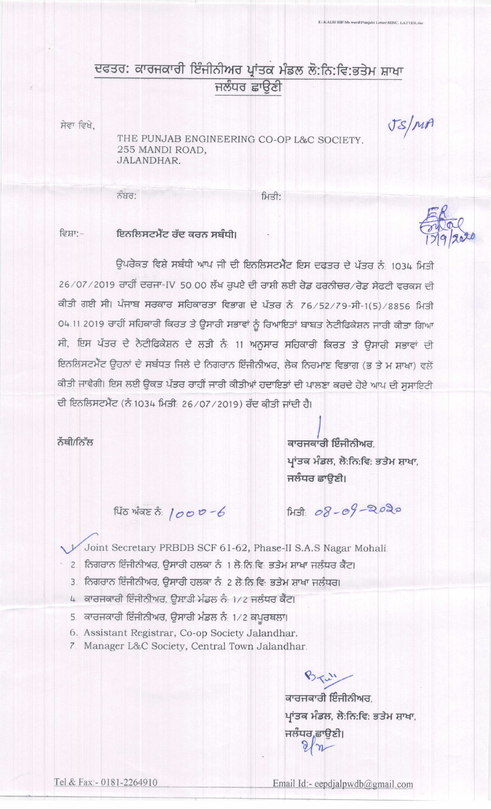## ਦਫਤਰ: ਕਾਰਜਕਾਰੀ ਇੰਜੀਨੀਅਰ ਪ੍ਰਾਂਤਕ ਮੰਡਲ ਲੋ:ਨਿ:ਵਿ:ਭਤੇਮ ਸ਼ਾਖਾ ਜਲੰਧਰ ਛਾਉਣੀ

ਸੇਵਾ ਵਿਖੇ.

THE PUNJAB ENGINEERING CO-OP L&C SOCIETY. 255 MANDI ROAD, JALANDHAR.

ਨੰਬਰ:

ਮਿਤੀ:

## ਇਨਲਿਸਟਮੈਂਟ ਰੱਦ ਕਰਨ ਸਬੰਧੀ। ਵਿਸ਼ਾ:-

ਉਪਰੋਕਤ ਵਿਸ਼ੇ ਸਬੰਧੀ ਆਪ ਜੀ ਦੀ ਇਨਲਿਸਟਮੈਂਟ ਇਸ ਦਫਤਰ ਦੇ ਪੱਤਰ ਨੰ: 1034 ਮਿਤੀ 26/07/2019 ਰਾਹੀਂ ਦਰਜਾ-IV 50.00 ਲੱਖ ਰੁਪਏ ਦੀ ਰਾਸ਼ੀ ਲਈ ਰੋਡ ਫਰਨੀਚਰ/ਰੋਡ ਸੇਫਟੀ ਵਰਕਸ ਦੀ ਕੀਤੀ ਗਈ ਸੀ। ਪੰਜਾਬ ਸਰਕਾਰ ਸਹਿਕਾਰਤਾ ਵਿਭਾਗ ਦੇ ਪੱਤਰ ਨੰ: 76/52/79-ਸੀ-1(5)/8856 ਮਿਤੀ 04.11.2019 ਰਾਹੀਂ ਸਹਿਕਾਰੀ ਕਿਰਤ ਤੇ ਉਸਾਰੀ ਸਭਾਵਾਂ ਨੂੰ ਰਿਆਇਤਾਂ ਬਾਬਤ ਨੋਟੀਫਿਕੇਸ਼ਨ ਜਾਰੀ ਕੀਤਾ ਗਿਆ ਸੀ, ਇਸ ਪੱਤਰ ਦੇ ਨੋਟੀਫਿਕੇਸ਼ਨ ਦੇ ਲੜੀ ਨੰ 11 ਅਨੁਸਾਰ ਸਹਿਕਾਰੀ ਕਿਰਤ ਤੇ ਉਸਾਰੀ ਸਭਾਵਾਂ ਦੀ ਇਨਲਿਸਟਮੈਂਟ ਉਹਨਾਂ ਦੇ ਸਬੰਧਤ ਜਿਲੇ ਦੇ ਨਿਗਰਾਨ ਇੰਜੀਨੀਅਰ, ਲੋਕ ਨਿਰਮਾਣ ਵਿਭਾਗ (ਭ ਤੇ ਮ ਸ਼ਾਖਾ) ਵਲੇਂ ਕੀਤੀ ਜਾਵੇਗੀ। ਇਸ ਲਈ ਉਕਤ ਪੱਤਰ ਰਾਹੀਂ ਜਾਰੀ ਕੀਤੀਆਂ ਹਦਾਇਤਾਂ ਦੀ ਪਾਲਣਾ ਕਰਦੇ ਹੋਏ ਆਪ ਦੀ ਸੁਸਾਇਟੀ ਦੀ ਇਨਲਿਸਟਮੈਂਟ (ਨੰ1034 ਮਿਤੀ: 26/07/2019) ਰੱਦ ਕੀਤੀ ਜਾਂਦੀ ਹੈ।

ਨੱਥੀ/ਨਿੱਲ

ਕਾਰਜਕਾਰੀ ਇੰਜੀਨੀਅਰ. ਪ੍ਰਾਂਤਕ ਮੰਡਲ, ਲੋ:ਨਿ:ਵਿ: ਭਤੇਮ ਸ਼ਾਖਾ, ਜਲੰਧਰ ਛਾਉਣੀ।

ENKALSI SIRMs word Punjabi Letter MISC, LATTER.dog

JS/MA

ਪਿੱਠ ਅੰਕਣ ਨੰ:  $1000 - 6$ 

 $A3: 08 - 09 - 2020$ 

Joint Secretary PRBDB SCF 61-62, Phase-II S.A.S Nagar Mohali.

- 2 ਨਿਗਰਾਨ ਇੰਜੀਨੀਅਰ, ਉਸਾਰੀ ਹਲਕਾ ਨੰ 1 ਲੋ ਨਿ ਵਿ ਭਤੇਮ ਸ਼ਾਖਾ ਜਲੰਧਰ ਕੈਂਟ।
- 3. ਨਿਗਰਾਨ ਇੰਜੀਨੀਅਰ, ਉਸਾਰੀ ਹਲਕਾ ਨੰ: 2 ਲੋ:ਨਿ:ਵਿ: ਭਤੇਮ ਸ਼ਾਖਾ ਜਲੰਧਰ।
- 4. ਕਾਰਜਕਾਰੀ ਇੰਜੀਨੀਅਰ, ਉਸਾਤੀ ਮੰਡਲ ਨੰ: 1/2 ਜਲੰਧਰ ਕੈਂਟ।
- 5. ਕਾਰਜਕਾਰੀ ਇੰਜੀਨੀਅਰ, ਉਸਾਰੀ ਮੰਡਲ ਨੰ: 1/2 ਕਪੂਰਥਲਾ।
- 6. Assistant Registrar, Co-op Society Jalandhar.
- 7. Manager L&C Society, Central Town Jalandhar.

ਕਾਰਜਕਾਰੀ ਇੰਜੀਨੀਅਰ. ਪ੍ਰਾਂਤਕ ਮੰਡਲ, ਲੋ:ਨਿ:ਵਿ: ਭਤੇਮ ਸ਼ਾਖਾ, ਜਲੰਧਰ,ਛਾਉਣੀ।  $2m$ 

 $825 - 12$ 

Email Id:- eepdjalpwdb@gmail.com